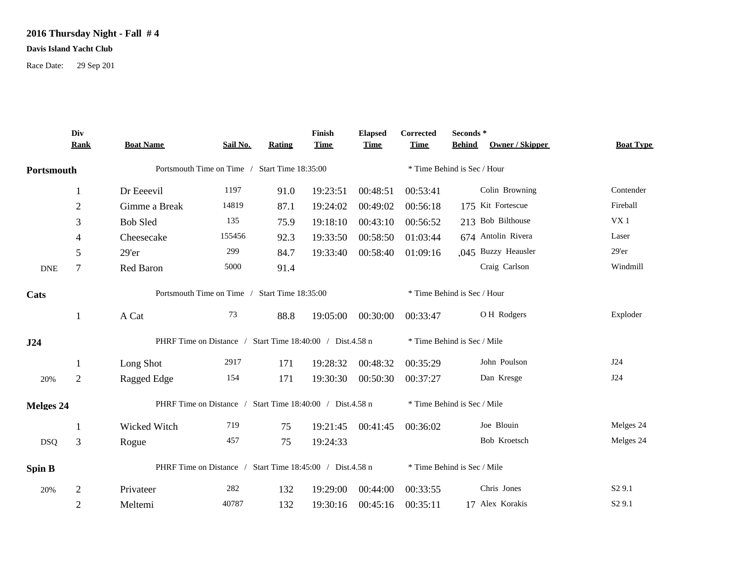## **2016 Thursday Night - Fall # 4**

## **Davis Island Yacht Club**

Race Date: 29 Sep 201

|                  | Div<br><b>Rank</b> | <b>Boat Name</b>                                          | Sail No.                                      | Rating | Finish<br><b>Time</b> | <b>Elapsed</b><br><b>Time</b> | Corrected<br><b>Time</b>    | Seconds*<br>Owner / Skipper<br><b>Behind</b> | <b>Boat Type</b>   |
|------------------|--------------------|-----------------------------------------------------------|-----------------------------------------------|--------|-----------------------|-------------------------------|-----------------------------|----------------------------------------------|--------------------|
| Portsmouth       |                    |                                                           | Portsmouth Time on Time / Start Time 18:35:00 |        |                       |                               |                             | * Time Behind is Sec / Hour                  |                    |
|                  | 1                  | Dr Eeeevil                                                | 1197                                          | 91.0   | 19:23:51              | 00:48:51                      | 00:53:41                    | Colin Browning                               | Contender          |
|                  | $\overline{c}$     | Gimme a Break                                             | 14819                                         | 87.1   | 19:24:02              | 00:49:02                      | 00:56:18                    | 175 Kit Fortescue                            | Fireball           |
|                  | 3                  | <b>Bob Sled</b>                                           | 135                                           | 75.9   | 19:18:10              | 00:43:10                      | 00:56:52                    | 213 Bob Bilthouse                            | VX <sub>1</sub>    |
|                  | 4                  | Cheesecake                                                | 155456                                        | 92.3   | 19:33:50              | 00:58:50                      | 01:03:44                    | 674 Antolin Rivera                           | Laser              |
|                  | 5                  | 29'er                                                     | 299                                           | 84.7   | 19:33:40              | 00:58:40                      | 01:09:16                    | .045 Buzzy Heausler                          | $29'$ er           |
| <b>DNE</b>       | 7                  | Red Baron                                                 | 5000                                          | 91.4   |                       |                               |                             | Craig Carlson                                | Windmill           |
| Cats             |                    | Portsmouth Time on Time /<br><b>Start Time 18:35:00</b>   |                                               |        |                       |                               |                             | * Time Behind is Sec / Hour                  |                    |
|                  | 1                  | A Cat                                                     | 73                                            | 88.8   | 19:05:00              | 00:30:00                      | 00:33:47                    | OH Rodgers                                   | Exploder           |
| J24              |                    | PHRF Time on Distance / Start Time 18:40:00 / Dist.4.58 n |                                               |        |                       |                               | * Time Behind is Sec / Mile |                                              |                    |
|                  | 1                  | Long Shot                                                 | 2917                                          | 171    | 19:28:32              | 00:48:32                      | 00:35:29                    | John Poulson                                 | J24                |
| 20%              | $\overline{c}$     | Ragged Edge                                               | 154                                           | 171    | 19:30:30              | 00:50:30                      | 00:37:27                    | Dan Kresge                                   | J24                |
| <b>Melges 24</b> |                    | PHRF Time on Distance / Start Time 18:40:00 / Dist.4.58 n |                                               |        |                       |                               | * Time Behind is Sec / Mile |                                              |                    |
|                  |                    | Wicked Witch                                              | 719                                           | 75     | 19:21:45              | 00:41:45                      | 00:36:02                    | Joe Blouin                                   | Melges 24          |
| <b>DSQ</b>       | 3                  | Rogue                                                     | 457                                           | 75     | 19:24:33              |                               |                             | Bob Kroetsch                                 | Melges 24          |
| <b>Spin B</b>    |                    | PHRF Time on Distance / Start Time 18:45:00 / Dist.4.58 n |                                               |        |                       |                               | * Time Behind is Sec / Mile |                                              |                    |
| 20%              | $\overline{2}$     | Privateer                                                 | 282                                           | 132    | 19:29:00              | 00:44:00                      | 00:33:55                    | Chris Jones                                  | S <sub>2</sub> 9.1 |
|                  | $\overline{2}$     | Meltemi                                                   | 40787                                         | 132    | 19:30:16              | 00:45:16                      | 00:35:11                    | 17 Alex Korakis                              | S <sub>2</sub> 9.1 |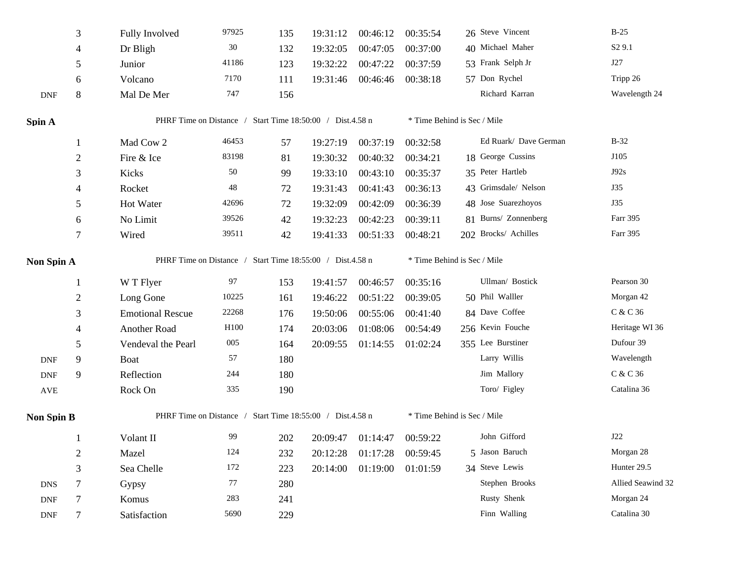|                             | 3              | <b>Fully Involved</b>                                     | 97925                                                     | 135 | 19:31:12 | 00:46:12          | 00:35:54 | 26 Steve Vincent            | $B-25$             |
|-----------------------------|----------------|-----------------------------------------------------------|-----------------------------------------------------------|-----|----------|-------------------|----------|-----------------------------|--------------------|
|                             | 4              | Dr Bligh                                                  | $30\,$                                                    | 132 | 19:32:05 | 00:47:05          | 00:37:00 | 40 Michael Maher            | S <sub>2</sub> 9.1 |
|                             | 5              | Junior                                                    | 41186                                                     | 123 | 19:32:22 | 00:47:22          | 00:37:59 | 53 Frank Selph Jr           | J27                |
|                             | 6              | Volcano                                                   | 7170                                                      | 111 | 19:31:46 | 00:46:46          | 00:38:18 | 57 Don Rychel               | Tripp 26           |
| <b>DNF</b>                  | $\,8\,$        | Mal De Mer                                                | 747                                                       | 156 |          |                   |          | Richard Karran              | Wavelength 24      |
| Spin A                      |                |                                                           | PHRF Time on Distance / Start Time 18:50:00 / Dist.4.58 n |     |          |                   |          | * Time Behind is Sec / Mile |                    |
|                             |                | Mad Cow 2                                                 | 46453                                                     | 57  | 19:27:19 | 00:37:19          | 00:32:58 | Ed Ruark/ Dave German       | $B-32$             |
|                             | $\overline{2}$ | Fire & Ice                                                | 83198                                                     | 81  | 19:30:32 | 00:40:32          | 00:34:21 | 18 George Cussins           | J105               |
|                             | 3              | Kicks                                                     | 50                                                        | 99  | 19:33:10 | 00:43:10          | 00:35:37 | 35 Peter Hartleb            | J92s               |
|                             | 4              | Rocket                                                    | $\sqrt{48}$                                               | 72  | 19:31:43 | 00:41:43          | 00:36:13 | 43 Grimsdale/ Nelson        | J35                |
|                             | 5              | Hot Water                                                 | 42696                                                     | 72  | 19:32:09 | 00:42:09          | 00:36:39 | 48 Jose Suarezhoyos         | J35                |
|                             | 6              | No Limit                                                  | 39526                                                     | 42  | 19:32:23 | 00:42:23          | 00:39:11 | 81 Burns/ Zonnenberg        | Farr 395           |
|                             | 7              | Wired                                                     | 39511                                                     | 42  | 19:41:33 | 00:51:33          | 00:48:21 | 202 Brocks/ Achilles        | Farr 395           |
| Non Spin A                  |                |                                                           | PHRF Time on Distance / Start Time 18:55:00 / Dist.4.58 n |     |          |                   |          | * Time Behind is Sec / Mile |                    |
|                             | $\mathbf{1}$   | W T Flyer                                                 | 97                                                        | 153 | 19:41:57 | 00:46:57          | 00:35:16 | Ullman/ Bostick             | Pearson 30         |
|                             | $\overline{2}$ | Long Gone                                                 | 10225                                                     | 161 | 19:46:22 | 00:51:22          | 00:39:05 | 50 Phil Walller             | Morgan 42          |
|                             | 3              | <b>Emotional Rescue</b>                                   | 22268                                                     | 176 | 19:50:06 | 00:55:06          | 00:41:40 | 84 Dave Coffee              | C & C 36           |
|                             | 4              | Another Road                                              | H100                                                      | 174 | 20:03:06 | 01:08:06          | 00:54:49 | 256 Kevin Fouche            | Heritage WI 36     |
|                             | 5              | Vendeval the Pearl                                        | 005                                                       | 164 | 20:09:55 | 01:14:55          | 01:02:24 | 355 Lee Burstiner           | Dufour 39          |
| $\ensuremath{\mathsf{DNF}}$ | 9              | Boat                                                      | 57                                                        | 180 |          |                   |          | Larry Willis                | Wavelength         |
| <b>DNF</b>                  | 9              | Reflection                                                | 244                                                       | 180 |          |                   |          | Jim Mallory                 | C & C 36           |
| AVE                         |                | Rock On                                                   | 335                                                       | 190 |          |                   |          | Toro/ Figley                | Catalina 36        |
| <b>Non Spin B</b>           |                | PHRF Time on Distance / Start Time 18:55:00 / Dist.4.58 n |                                                           |     |          |                   |          | * Time Behind is Sec / Mile |                    |
|                             |                | Volant II                                                 | 99                                                        | 202 |          | 20:09:47 01:14:47 | 00:59:22 | John Gifford                | J22                |
|                             | $\overline{2}$ | Mazel                                                     | 124                                                       | 232 | 20:12:28 | 01:17:28          | 00:59:45 | 5 Jason Baruch              | Morgan 28          |
|                             | $\mathfrak{Z}$ | Sea Chelle                                                | 172                                                       | 223 | 20:14:00 | 01:19:00          | 01:01:59 | 34 Steve Lewis              | Hunter 29.5        |
| <b>DNS</b>                  | $\tau$         | Gypsy                                                     | 77                                                        | 280 |          |                   |          | Stephen Brooks              | Allied Seawind 32  |
| $\ensuremath{\mathsf{DNF}}$ | 7              | Komus                                                     | 283                                                       | 241 |          |                   |          | Rusty Shenk                 | Morgan 24          |
| $\ensuremath{\mathsf{DNF}}$ | 7              | Satisfaction                                              | 5690                                                      | 229 |          |                   |          | Finn Walling                | Catalina 30        |